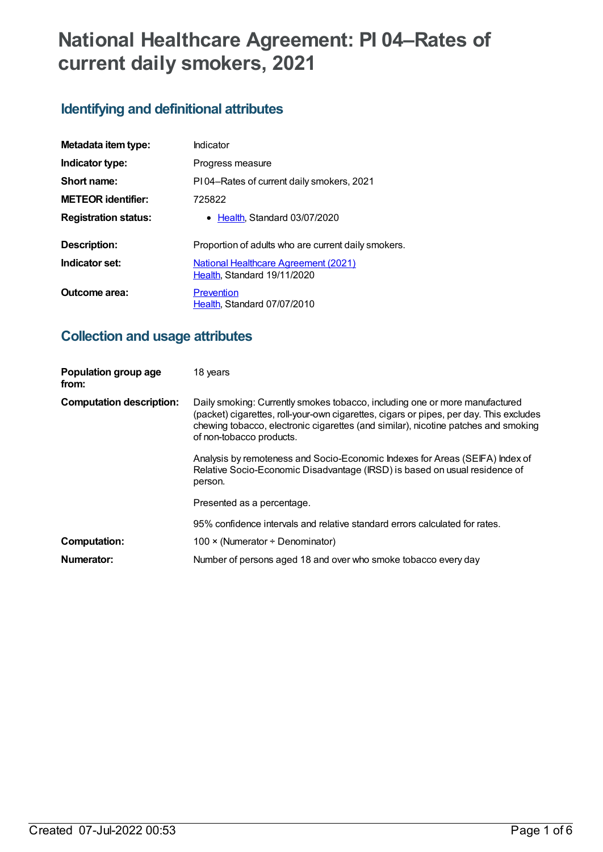# **National Healthcare Agreement: PI 04–Rates of current daily smokers, 2021**

## **Identifying and definitional attributes**

| Metadata item type:         | Indicator                                                                  |
|-----------------------------|----------------------------------------------------------------------------|
| Indicator type:             | Progress measure                                                           |
| Short name:                 | PI04-Rates of current daily smokers, 2021                                  |
| <b>METEOR identifier:</b>   | 725822                                                                     |
| <b>Registration status:</b> | • Health, Standard 03/07/2020                                              |
| Description:                | Proportion of adults who are current daily smokers.                        |
| Indicator set:              | <b>National Healthcare Agreement (2021)</b><br>Health, Standard 19/11/2020 |
| Outcome area:               | Prevention<br>Health, Standard 07/07/2010                                  |

## **Collection and usage attributes**

| Population group age<br>from:   | 18 years                                                                                                                                                                                                                                                                                |  |
|---------------------------------|-----------------------------------------------------------------------------------------------------------------------------------------------------------------------------------------------------------------------------------------------------------------------------------------|--|
| <b>Computation description:</b> | Daily smoking: Currently smokes tobacco, including one or more manufactured<br>(packet) cigarettes, roll-your-own cigarettes, cigars or pipes, per day. This excludes<br>chewing tobacco, electronic cigarettes (and similar), nicotine patches and smoking<br>of non-tobacco products. |  |
|                                 | Analysis by remoteness and Socio-Economic Indexes for Areas (SEIFA) Index of<br>Relative Socio-Economic Disadvantage (IRSD) is based on usual residence of<br>person.                                                                                                                   |  |
|                                 | Presented as a percentage.                                                                                                                                                                                                                                                              |  |
|                                 | 95% confidence intervals and relative standard errors calculated for rates.                                                                                                                                                                                                             |  |
| Computation:                    | 100 $\times$ (Numerator ÷ Denominator)                                                                                                                                                                                                                                                  |  |
| Numerator:                      | Number of persons aged 18 and over who smoke tobacco every day                                                                                                                                                                                                                          |  |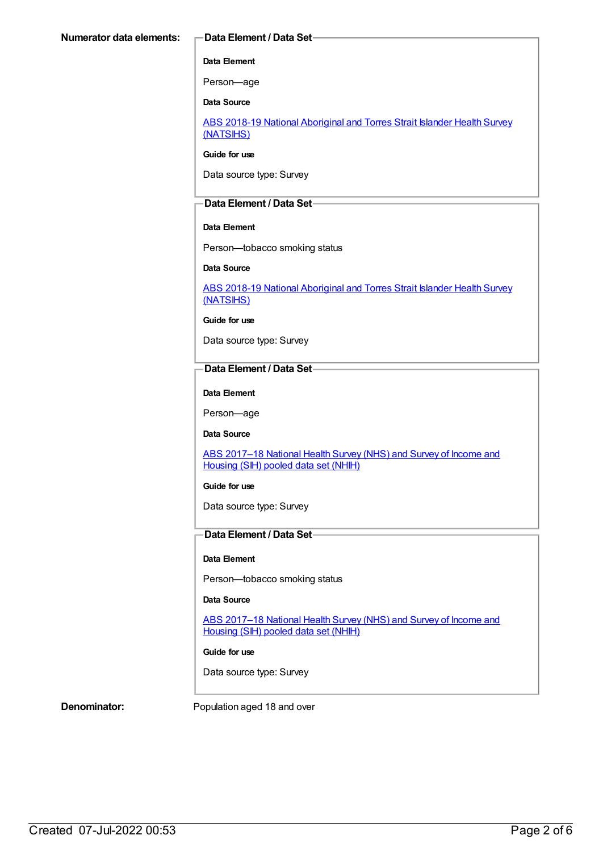#### **Data Element**

Person—age

**Data Source**

ABS 2018-19 National [Aboriginal](https://meteor.aihw.gov.au/content/719848) and Torres Strait Islander Health Survey (NATSIHS)

**Guide for use**

Data source type: Survey

#### **Data Element / Data Set**

#### **Data Element**

Person—tobacco smoking status

#### **Data Source**

ABS 2018-19 National [Aboriginal](https://meteor.aihw.gov.au/content/719848) and Torres Strait Islander Health Survey (NATSIHS)

**Guide for use**

Data source type: Survey

#### **Data Element / Data Set**

**Data Element**

Person—age

**Data Source**

ABS 2017-18 National Health Survey (NHS) and Survey of Income and Housing (SIH) pooled data set (NHIH)

#### **Guide for use**

Data source type: Survey

### **Data Element / Data Set**

#### **Data Element**

Person—tobacco smoking status

#### **Data Source**

ABS 2017-18 National Health Survey (NHS) and Survey of Income and Housing (SIH) pooled data set (NHIH)

#### **Guide for use**

Data source type: Survey

**Denominator:** Population aged 18 and over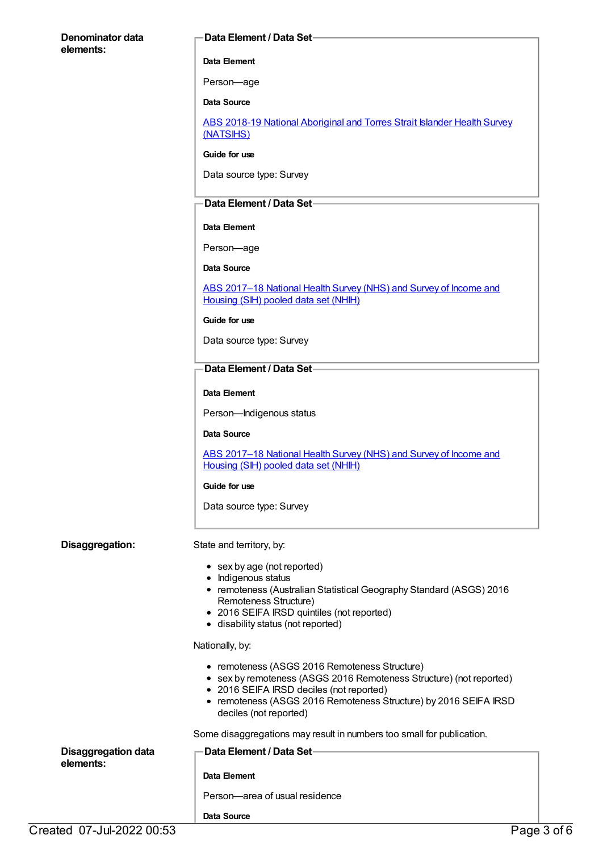## **Denominator data elements: Data Element / Data Set Data Element** Person—age **Data Source** ABS 2018-19 National [Aboriginal](https://meteor.aihw.gov.au/content/719848) and Torres Strait Islander Health Survey (NATSIHS) **Guide for use** Data source type: Survey **Data Element / Data Set Data Element** Person—age **Data Source** ABS 2017-18 National Health Survey (NHS) and Survey of Income and Housing (SIH) pooled data set (NHIH) **Guide for use** Data source type: Survey **Data Element / Data Set Data Element** Person—Indigenous status **Data Source** ABS [2017–18](https://meteor.aihw.gov.au/content/724604) National Health Survey (NHS) and Survey of Income and Housing (SIH) pooled data set (NHIH) **Guide for use** Data source type: Survey **Disaggregation:** State and territory, by: • sex by age (not reported) • Indigenous status remoteness (Australian Statistical Geography Standard (ASGS) 2016 Remoteness Structure) 2016 SEIFA IRSD quintiles (not reported) • disability status (not reported) Nationally, by: • remoteness (ASGS 2016 Remoteness Structure) sex by remoteness (ASGS 2016 Remoteness Structure) (not reported) • 2016 SEIFA IRSD deciles (not reported) • remoteness (ASGS 2016 Remoteness Structure) by 2016 SEIFA IRSD deciles (not reported) Some disaggregations may result in numbers too small for publication. **Disaggregation data elements: Data Element / Data Set Data Element** Person—area of usual residence

**Data Source**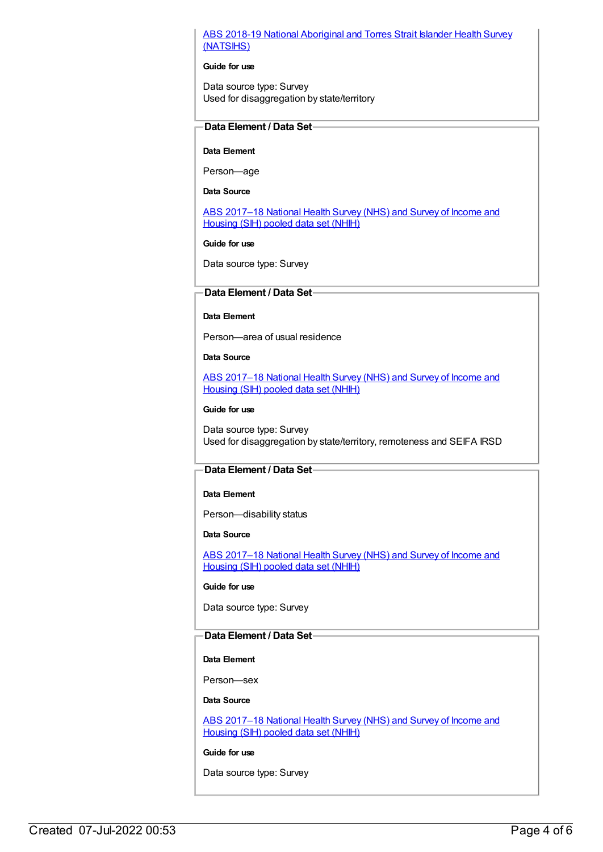#### ABS 2018-19 National [Aboriginal](https://meteor.aihw.gov.au/content/719848) and Torres Strait Islander Health Survey (NATSIHS)

#### **Guide for use**

Data source type: Survey Used for disaggregation by state/territory

### **Data Element / Data Set**

#### **Data Element**

Person—age

#### **Data Source**

ABS 2017-18 National Health Survey (NHS) and Survey of Income and Housing (SIH) pooled data set (NHIH)

#### **Guide for use**

Data source type: Survey

#### **Data Element / Data Set**

#### **Data Element**

Person—area of usual residence

#### **Data Source**

ABS [2017–18](https://meteor.aihw.gov.au/content/724604) National Health Survey (NHS) and Survey of Income and Housing (SIH) pooled data set (NHIH)

#### **Guide for use**

Data source type: Survey Used for disaggregation by state/territory, remoteness and SEIFA IRSD

#### **Data Element / Data Set**

#### **Data Element**

Person—disability status

#### **Data Source**

ABS 2017-18 National Health Survey (NHS) and Survey of Income and Housing (SIH) pooled data set (NHIH)

#### **Guide for use**

Data source type: Survey

### **Data Element / Data Set**

#### **Data Element**

Person—sex

#### **Data Source**

ABS 2017-18 National Health Survey (NHS) and Survey of Income and Housing (SIH) pooled data set (NHIH)

#### **Guide for use**

Data source type: Survey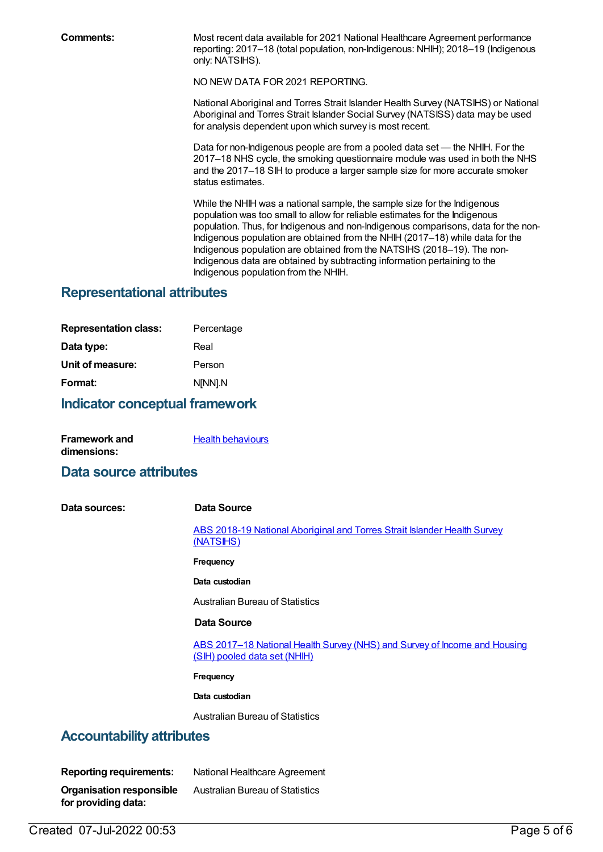**Comments:** Most recent data available for 2021 National Healthcare Agreement performance reporting: 2017–18 (total population, non-Indigenous: NHIH); 2018–19 (Indigenous only: NATSIHS).

NO NEW DATA FOR 2021 REPORTING.

National Aboriginal and Torres Strait Islander Health Survey (NATSIHS) or National Aboriginal and Torres Strait Islander Social Survey (NATSISS) data may be used for analysis dependent upon which survey is most recent.

Data for non-Indigenous people are from a pooled data set — the NHIH. For the 2017–18 NHS cycle, the smoking questionnaire module was used in both the NHS and the 2017–18 SIH to produce a larger sample size for more accurate smoker status estimates.

While the NHIH was a national sample, the sample size for the Indigenous population was too small to allow for reliable estimates for the Indigenous population. Thus, for Indigenous and non-Indigenous comparisons, data for the non-Indigenous population are obtained from the NHIH (2017–18) while data for the Indigenous population are obtained from the NATSIHS (2018–19). The non-Indigenous data are obtained by subtracting information pertaining to the Indigenous population from the NHIH.

## **Representational attributes**

| Percentage |
|------------|
| Real       |
| Person     |
| N[NN].N    |
|            |

## **Indicator conceptual framework**

| Framework and | <b>Health behaviours</b> |
|---------------|--------------------------|
| dimensions:   |                          |

### **Data source attributes**

**Data sources: Data Source**

ABS 2018-19 National [Aboriginal](https://meteor.aihw.gov.au/content/719848) and Torres Strait Islander Health Survey (NATSIHS)

#### **Frequency**

**Data custodian**

Australian Bureau of Statistics

#### **Data Source**

ABS [2017–18](https://meteor.aihw.gov.au/content/724604) National Health Survey (NHS) and Survey of Income and Housing (SIH) pooled data set (NHIH)

**Frequency**

**Data custodian**

Australian Bureau of Statistics

## **Accountability attributes**

| <b>Reporting requirements:</b> | National Healthcare Agreement          |
|--------------------------------|----------------------------------------|
| Organisation responsible       | <b>Australian Bureau of Statistics</b> |
| for providing data:            |                                        |